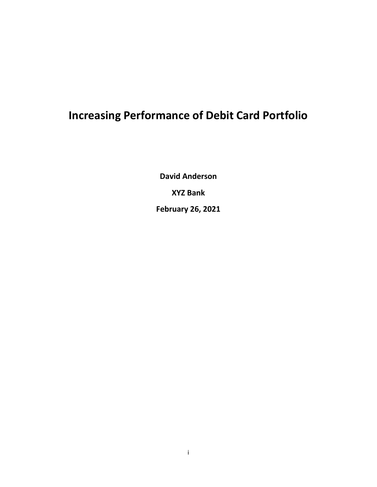## **Increasing Performance of Debit Card Portfolio**

**David Anderson XYZ Bank February 26, 2021**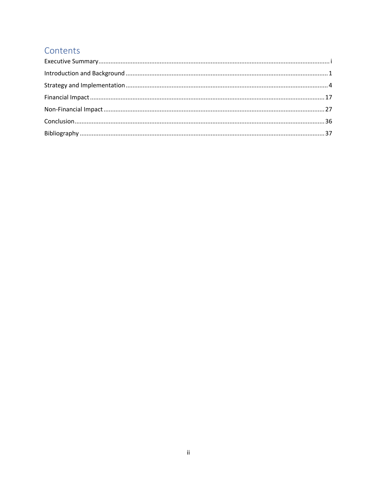### Contents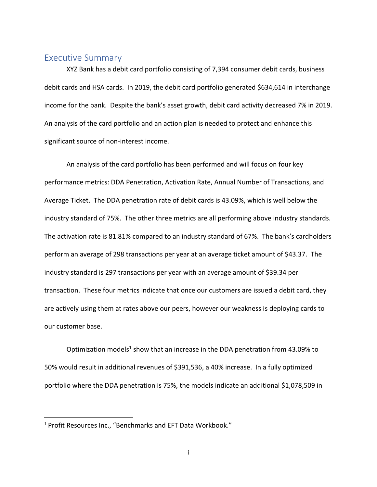#### <span id="page-2-0"></span>Executive Summary

XYZ Bank has a debit card portfolio consisting of 7,394 consumer debit cards, business debit cards and HSA cards. In 2019, the debit card portfolio generated \$634,614 in interchange income for the bank. Despite the bank's asset growth, debit card activity decreased 7% in 2019. An analysis of the card portfolio and an action plan is needed to protect and enhance this significant source of non-interest income.

An analysis of the card portfolio has been performed and will focus on four key performance metrics: DDA Penetration, Activation Rate, Annual Number of Transactions, and Average Ticket. The DDA penetration rate of debit cards is 43.09%, which is well below the industry standard of 75%. The other three metrics are all performing above industry standards. The activation rate is 81.81% compared to an industry standard of 67%. The bank's cardholders perform an average of 298 transactions per year at an average ticket amount of \$43.37. The industry standard is 297 transactions per year with an average amount of \$39.34 per transaction. These four metrics indicate that once our customers are issued a debit card, they are actively using them at rates above our peers, however our weakness is deploying cards to our customer base.

Optimization models<sup>1</sup> show that an increase in the DDA penetration from 43.09% to 50% would result in additional revenues of \$391,536, a 40% increase. In a fully optimized portfolio where the DDA penetration is 75%, the models indicate an additional \$1,078,509 in

 $\overline{\phantom{a}}$ 

<sup>&</sup>lt;sup>1</sup> Profit Resources Inc., "Benchmarks and EFT Data Workbook."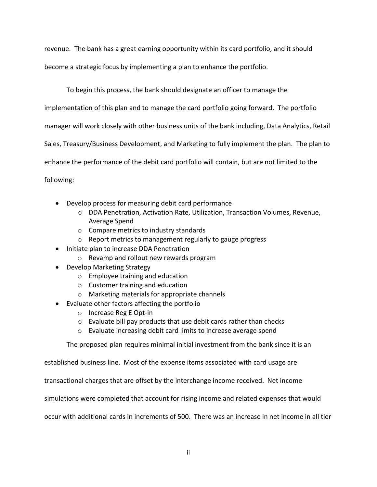revenue. The bank has a great earning opportunity within its card portfolio, and it should

become a strategic focus by implementing a plan to enhance the portfolio.

To begin this process, the bank should designate an officer to manage the

implementation of this plan and to manage the card portfolio going forward. The portfolio

manager will work closely with other business units of the bank including, Data Analytics, Retail

Sales, Treasury/Business Development, and Marketing to fully implement the plan. The plan to

enhance the performance of the debit card portfolio will contain, but are not limited to the

following:

- Develop process for measuring debit card performance
	- o DDA Penetration, Activation Rate, Utilization, Transaction Volumes, Revenue, Average Spend
	- o Compare metrics to industry standards
	- o Report metrics to management regularly to gauge progress
- Initiate plan to increase DDA Penetration
	- o Revamp and rollout new rewards program
- Develop Marketing Strategy
	- o Employee training and education
	- o Customer training and education
	- o Marketing materials for appropriate channels
- Evaluate other factors affecting the portfolio
	- o Increase Reg E Opt-in
	- o Evaluate bill pay products that use debit cards rather than checks
	- o Evaluate increasing debit card limits to increase average spend

The proposed plan requires minimal initial investment from the bank since it is an

established business line. Most of the expense items associated with card usage are

transactional charges that are offset by the interchange income received. Net income

simulations were completed that account for rising income and related expenses that would

occur with additional cards in increments of 500. There was an increase in net income in all tier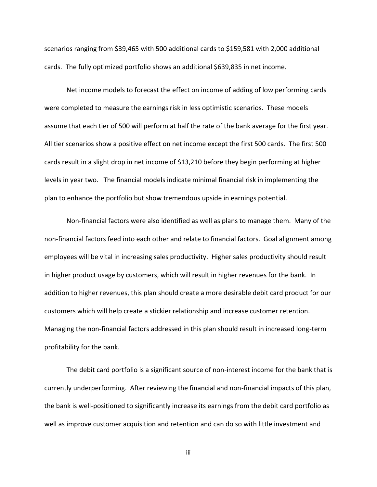scenarios ranging from \$39,465 with 500 additional cards to \$159,581 with 2,000 additional cards. The fully optimized portfolio shows an additional \$639,835 in net income.

Net income models to forecast the effect on income of adding of low performing cards were completed to measure the earnings risk in less optimistic scenarios. These models assume that each tier of 500 will perform at half the rate of the bank average for the first year. All tier scenarios show a positive effect on net income except the first 500 cards. The first 500 cards result in a slight drop in net income of \$13,210 before they begin performing at higher levels in year two. The financial models indicate minimal financial risk in implementing the plan to enhance the portfolio but show tremendous upside in earnings potential.

Non-financial factors were also identified as well as plans to manage them. Many of the non-financial factors feed into each other and relate to financial factors. Goal alignment among employees will be vital in increasing sales productivity. Higher sales productivity should result in higher product usage by customers, which will result in higher revenues for the bank. In addition to higher revenues, this plan should create a more desirable debit card product for our customers which will help create a stickier relationship and increase customer retention. Managing the non-financial factors addressed in this plan should result in increased long-term profitability for the bank.

The debit card portfolio is a significant source of non-interest income for the bank that is currently underperforming. After reviewing the financial and non-financial impacts of this plan, the bank is well-positioned to significantly increase its earnings from the debit card portfolio as well as improve customer acquisition and retention and can do so with little investment and

iii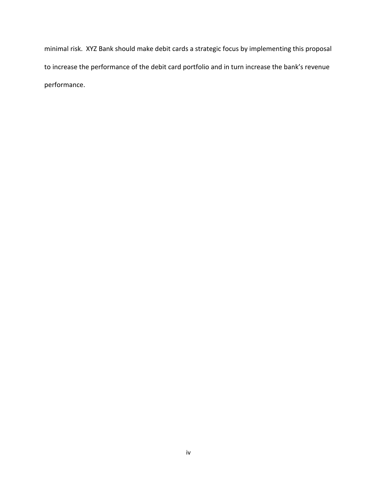minimal risk. XYZ Bank should make debit cards a strategic focus by implementing this proposal to increase the performance of the debit card portfolio and in turn increase the bank's revenue performance.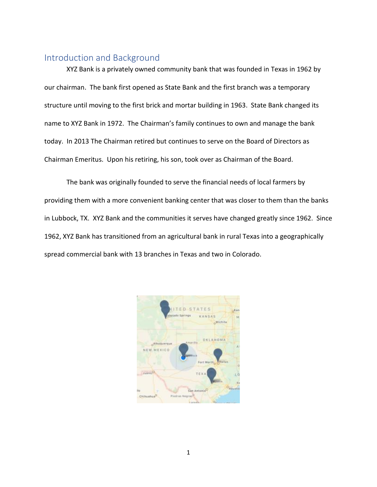#### <span id="page-6-0"></span>Introduction and Background

XYZ Bank is a privately owned community bank that was founded in Texas in 1962 by our chairman. The bank first opened as State Bank and the first branch was a temporary structure until moving to the first brick and mortar building in 1963. State Bank changed its name to XYZ Bank in 1972. The Chairman's family continues to own and manage the bank today. In 2013 The Chairman retired but continues to serve on the Board of Directors as Chairman Emeritus. Upon his retiring, his son, took over as Chairman of the Board.

The bank was originally founded to serve the financial needs of local farmers by providing them with a more convenient banking center that was closer to them than the banks in Lubbock, TX. XYZ Bank and the communities it serves have changed greatly since 1962. Since 1962, XYZ Bank has transitioned from an agricultural bank in rural Texas into a geographically spread commercial bank with 13 branches in Texas and two in Colorado.

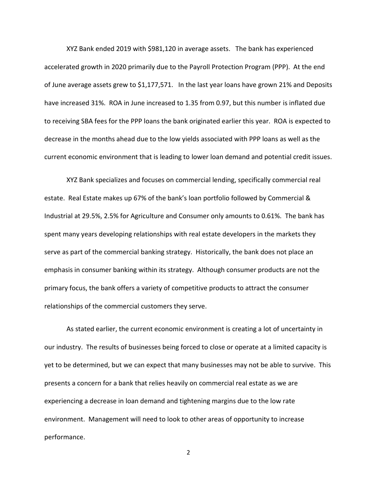XYZ Bank ended 2019 with \$981,120 in average assets. The bank has experienced accelerated growth in 2020 primarily due to the Payroll Protection Program (PPP). At the end of June average assets grew to \$1,177,571. In the last year loans have grown 21% and Deposits have increased 31%. ROA in June increased to 1.35 from 0.97, but this number is inflated due to receiving SBA fees for the PPP loans the bank originated earlier this year. ROA is expected to decrease in the months ahead due to the low yields associated with PPP loans as well as the current economic environment that is leading to lower loan demand and potential credit issues.

XYZ Bank specializes and focuses on commercial lending, specifically commercial real estate. Real Estate makes up 67% of the bank's loan portfolio followed by Commercial & Industrial at 29.5%, 2.5% for Agriculture and Consumer only amounts to 0.61%. The bank has spent many years developing relationships with real estate developers in the markets they serve as part of the commercial banking strategy. Historically, the bank does not place an emphasis in consumer banking within its strategy. Although consumer products are not the primary focus, the bank offers a variety of competitive products to attract the consumer relationships of the commercial customers they serve.

As stated earlier, the current economic environment is creating a lot of uncertainty in our industry. The results of businesses being forced to close or operate at a limited capacity is yet to be determined, but we can expect that many businesses may not be able to survive. This presents a concern for a bank that relies heavily on commercial real estate as we are experiencing a decrease in loan demand and tightening margins due to the low rate environment. Management will need to look to other areas of opportunity to increase performance.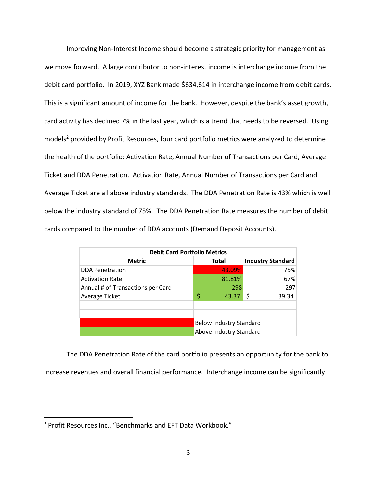Improving Non-Interest Income should become a strategic priority for management as we move forward. A large contributor to non-interest income is interchange income from the debit card portfolio. In 2019, XYZ Bank made \$634,614 in interchange income from debit cards. This is a significant amount of income for the bank. However, despite the bank's asset growth, card activity has declined 7% in the last year, which is a trend that needs to be reversed. Using models<sup>2</sup> provided by Profit Resources, four card portfolio metrics were analyzed to determine the health of the portfolio: Activation Rate, Annual Number of Transactions per Card, Average Ticket and DDA Penetration. Activation Rate, Annual Number of Transactions per Card and Average Ticket are all above industry standards. The DDA Penetration Rate is 43% which is well below the industry standard of 75%. The DDA Penetration Rate measures the number of debit cards compared to the number of DDA accounts (Demand Deposit Accounts).

| <b>Debit Card Portfolio Metrics</b> |                                |                         |                          |       |  |  |  |  |  |  |  |  |
|-------------------------------------|--------------------------------|-------------------------|--------------------------|-------|--|--|--|--|--|--|--|--|
| <b>Metric</b>                       |                                | <b>Total</b>            | <b>Industry Standard</b> |       |  |  |  |  |  |  |  |  |
| <b>DDA Penetration</b>              |                                | 43.09%                  |                          | 75%   |  |  |  |  |  |  |  |  |
| <b>Activation Rate</b>              |                                | 81.81%                  |                          | 67%   |  |  |  |  |  |  |  |  |
| Annual # of Transactions per Card   |                                | 298                     |                          | 297   |  |  |  |  |  |  |  |  |
| Average Ticket                      | \$                             | 43.37                   | \$                       | 39.34 |  |  |  |  |  |  |  |  |
|                                     |                                |                         |                          |       |  |  |  |  |  |  |  |  |
|                                     | <b>Below Industry Standard</b> |                         |                          |       |  |  |  |  |  |  |  |  |
|                                     |                                | Above Industry Standard |                          |       |  |  |  |  |  |  |  |  |

The DDA Penetration Rate of the card portfolio presents an opportunity for the bank to increase revenues and overall financial performance. Interchange income can be significantly

 $\overline{\phantom{a}}$ 

<sup>2</sup> Profit Resources Inc., "Benchmarks and EFT Data Workbook."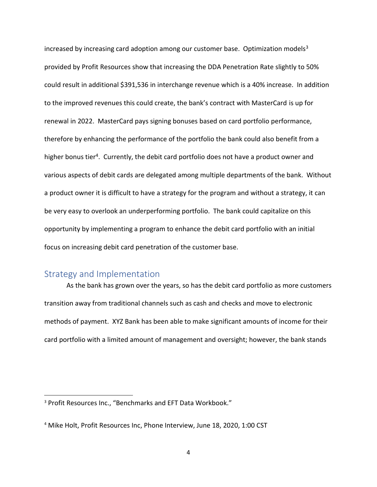increased by increasing card adoption among our customer base. Optimization models $3$ provided by Profit Resources show that increasing the DDA Penetration Rate slightly to 50% could result in additional \$391,536 in interchange revenue which is a 40% increase. In addition to the improved revenues this could create, the bank's contract with MasterCard is up for renewal in 2022. MasterCard pays signing bonuses based on card portfolio performance, therefore by enhancing the performance of the portfolio the bank could also benefit from a higher bonus tier<sup>4</sup>. Currently, the debit card portfolio does not have a product owner and various aspects of debit cards are delegated among multiple departments of the bank. Without a product owner it is difficult to have a strategy for the program and without a strategy, it can be very easy to overlook an underperforming portfolio. The bank could capitalize on this opportunity by implementing a program to enhance the debit card portfolio with an initial focus on increasing debit card penetration of the customer base.

#### <span id="page-9-0"></span>Strategy and Implementation

 $\overline{\phantom{a}}$ 

As the bank has grown over the years, so has the debit card portfolio as more customers transition away from traditional channels such as cash and checks and move to electronic methods of payment. XYZ Bank has been able to make significant amounts of income for their card portfolio with a limited amount of management and oversight; however, the bank stands

<sup>3</sup> Profit Resources Inc., "Benchmarks and EFT Data Workbook."

<sup>4</sup> Mike Holt, Profit Resources Inc, Phone Interview, June 18, 2020, 1:00 CST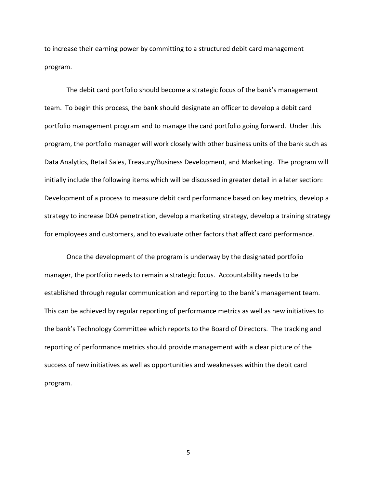to increase their earning power by committing to a structured debit card management program.

The debit card portfolio should become a strategic focus of the bank's management team. To begin this process, the bank should designate an officer to develop a debit card portfolio management program and to manage the card portfolio going forward. Under this program, the portfolio manager will work closely with other business units of the bank such as Data Analytics, Retail Sales, Treasury/Business Development, and Marketing. The program will initially include the following items which will be discussed in greater detail in a later section: Development of a process to measure debit card performance based on key metrics, develop a strategy to increase DDA penetration, develop a marketing strategy, develop a training strategy for employees and customers, and to evaluate other factors that affect card performance.

Once the development of the program is underway by the designated portfolio manager, the portfolio needs to remain a strategic focus. Accountability needs to be established through regular communication and reporting to the bank's management team. This can be achieved by regular reporting of performance metrics as well as new initiatives to the bank's Technology Committee which reports to the Board of Directors. The tracking and reporting of performance metrics should provide management with a clear picture of the success of new initiatives as well as opportunities and weaknesses within the debit card program.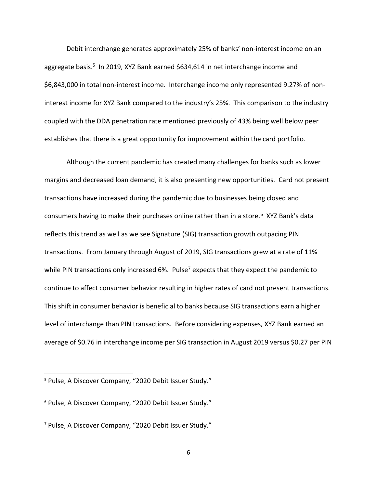Debit interchange generates approximately 25% of banks' non-interest income on an aggregate basis.<sup>5</sup> In 2019, XYZ Bank earned \$634,614 in net interchange income and \$6,843,000 in total non-interest income. Interchange income only represented 9.27% of noninterest income for XYZ Bank compared to the industry's 25%. This comparison to the industry coupled with the DDA penetration rate mentioned previously of 43% being well below peer establishes that there is a great opportunity for improvement within the card portfolio.

Although the current pandemic has created many challenges for banks such as lower margins and decreased loan demand, it is also presenting new opportunities. Card not present transactions have increased during the pandemic due to businesses being closed and consumers having to make their purchases online rather than in a store.<sup>6</sup> XYZ Bank's data reflects this trend as well as we see Signature (SIG) transaction growth outpacing PIN transactions. From January through August of 2019, SIG transactions grew at a rate of 11% while PIN transactions only increased 6%. Pulse<sup>7</sup> expects that they expect the pandemic to continue to affect consumer behavior resulting in higher rates of card not present transactions. This shift in consumer behavior is beneficial to banks because SIG transactions earn a higher level of interchange than PIN transactions. Before considering expenses, XYZ Bank earned an average of \$0.76 in interchange income per SIG transaction in August 2019 versus \$0.27 per PIN

 $\overline{\phantom{a}}$ 

<sup>5</sup> Pulse, A Discover Company, "2020 Debit Issuer Study."

<sup>6</sup> Pulse, A Discover Company, "2020 Debit Issuer Study."

<sup>7</sup> Pulse, A Discover Company, "2020 Debit Issuer Study."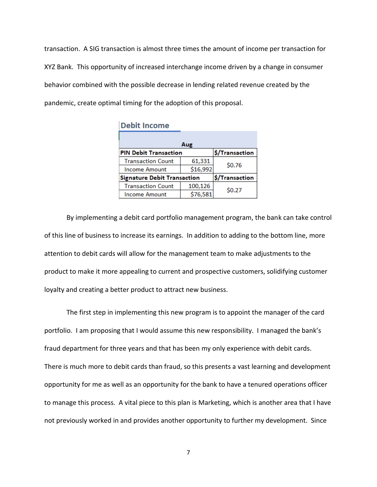transaction. A SIG transaction is almost three times the amount of income per transaction for XYZ Bank. This opportunity of increased interchange income driven by a change in consumer behavior combined with the possible decrease in lending related revenue created by the pandemic, create optimal timing for the adoption of this proposal.

| <b>Debit Income</b>                |          |                |
|------------------------------------|----------|----------------|
|                                    | Aug      |                |
| <b>PIN Debit Transaction</b>       |          | \$/Transaction |
| <b>Transaction Count</b>           | 61,331   | \$0.76         |
| <b>Income Amount</b>               | \$16,992 |                |
| <b>Signature Debit Transaction</b> |          | \$/Transaction |
| <b>Transaction Count</b>           | 100,126  | \$0.27         |
| <b>Income Amount</b>               | \$76,581 |                |

By implementing a debit card portfolio management program, the bank can take control of this line of business to increase its earnings. In addition to adding to the bottom line, more attention to debit cards will allow for the management team to make adjustments to the product to make it more appealing to current and prospective customers, solidifying customer loyalty and creating a better product to attract new business.

The first step in implementing this new program is to appoint the manager of the card portfolio. I am proposing that I would assume this new responsibility. I managed the bank's fraud department for three years and that has been my only experience with debit cards. There is much more to debit cards than fraud, so this presents a vast learning and development opportunity for me as well as an opportunity for the bank to have a tenured operations officer to manage this process. A vital piece to this plan is Marketing, which is another area that I have not previously worked in and provides another opportunity to further my development. Since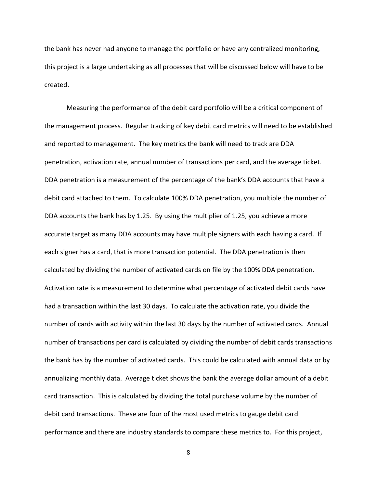the bank has never had anyone to manage the portfolio or have any centralized monitoring, this project is a large undertaking as all processes that will be discussed below will have to be created.

Measuring the performance of the debit card portfolio will be a critical component of the management process. Regular tracking of key debit card metrics will need to be established and reported to management. The key metrics the bank will need to track are DDA penetration, activation rate, annual number of transactions per card, and the average ticket. DDA penetration is a measurement of the percentage of the bank's DDA accounts that have a debit card attached to them. To calculate 100% DDA penetration, you multiple the number of DDA accounts the bank has by 1.25. By using the multiplier of 1.25, you achieve a more accurate target as many DDA accounts may have multiple signers with each having a card. If each signer has a card, that is more transaction potential. The DDA penetration is then calculated by dividing the number of activated cards on file by the 100% DDA penetration. Activation rate is a measurement to determine what percentage of activated debit cards have had a transaction within the last 30 days. To calculate the activation rate, you divide the number of cards with activity within the last 30 days by the number of activated cards. Annual number of transactions per card is calculated by dividing the number of debit cards transactions the bank has by the number of activated cards. This could be calculated with annual data or by annualizing monthly data. Average ticket shows the bank the average dollar amount of a debit card transaction. This is calculated by dividing the total purchase volume by the number of debit card transactions. These are four of the most used metrics to gauge debit card performance and there are industry standards to compare these metrics to. For this project,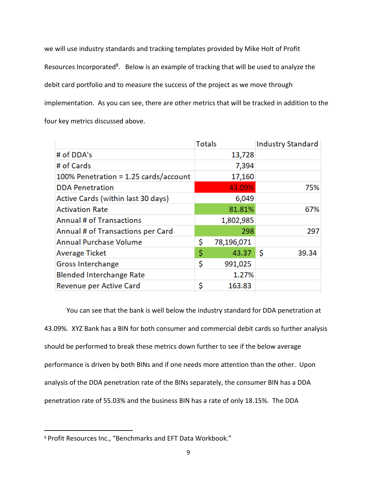we will use industry standards and tracking templates provided by Mike Holt of Profit Resources Incorporated<sup>8</sup>. Below is an example of tracking that will be used to analyze the debit card portfolio and to measure the success of the project as we move through implementation. As you can see, there are other metrics that will be tracked in addition to the four key metrics discussed above.

|                                          | <b>Totals</b> |            | <b>Industry Standard</b> |
|------------------------------------------|---------------|------------|--------------------------|
| # of DDA's                               |               | 13,728     |                          |
| # of Cards                               |               | 7,394      |                          |
| $100\%$ Penetration = 1.25 cards/account |               | 17,160     |                          |
| <b>DDA Penetration</b>                   |               | 43.09%     | 75%                      |
| Active Cards (within last 30 days)       |               | 6,049      |                          |
| <b>Activation Rate</b>                   |               | 81.81%     | 67%                      |
| <b>Annual # of Transactions</b>          |               | 1,802,985  |                          |
| Annual # of Transactions per Card        |               | 298        | 297                      |
| <b>Annual Purchase Volume</b>            | \$            | 78,196,071 |                          |
| <b>Average Ticket</b>                    | \$            | 43.37      | \$<br>39.34              |
| Gross Interchange                        | \$            | 991,025    |                          |
| <b>Blended Interchange Rate</b>          |               | 1.27%      |                          |
| Revenue per Active Card                  | \$            | 163.83     |                          |

You can see that the bank is well below the industry standard for DDA penetration at 43.09%. XYZ Bank has a BIN for both consumer and commercial debit cards so further analysis should be performed to break these metrics down further to see if the below average performance is driven by both BINs and if one needs more attention than the other. Upon analysis of the DDA penetration rate of the BINs separately, the consumer BIN has a DDA penetration rate of 55.03% and the business BIN has a rate of only 18.15%. The DDA

 $\overline{\phantom{a}}$ 

<sup>8</sup> Profit Resources Inc., "Benchmarks and EFT Data Workbook."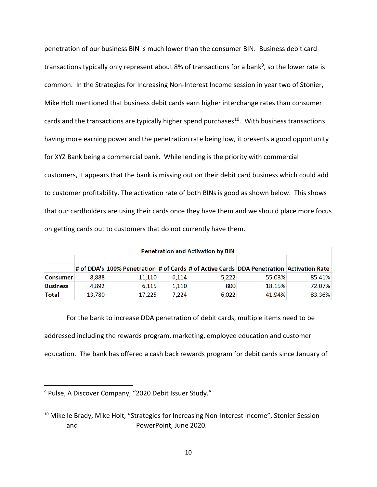penetration of our business BIN is much lower than the consumer BIN. Business debit card transactions typically only represent about 8% of transactions for a bank<sup>9</sup>, so the lower rate is common. In the Strategies for Increasing Non-Interest Income session in year two of Stonier, Mike Holt mentioned that business debit cards earn higher interchange rates than consumer cards and the transactions are typically higher spend purchases<sup>10</sup>. With business transactions having more earning power and the penetration rate being low, it presents a good opportunity for XYZ Bank being a commercial bank. While lending is the priority with commercial customers, it appears that the bank is missing out on their debit card business which could add to customer profitability. The activation rate of both BINs is good as shown below. This shows that our cardholders are using their cards once they have them and we should place more focus on getting cards out to customers that do not currently have them.

|                 |        |                                                                                          |       | <b>Penetration and Activation by BIN</b> |        |        |
|-----------------|--------|------------------------------------------------------------------------------------------|-------|------------------------------------------|--------|--------|
|                 |        |                                                                                          |       |                                          |        |        |
|                 |        | # of DDA's 100% Penetration # of Cards # of Active Cards DDA Penetration Activation Rate |       |                                          |        |        |
| <b>Consumer</b> | 8.888  | 11.110                                                                                   | 6.114 | 5.222                                    | 55.03% | 85.41% |
| <b>Business</b> | 4.892  | 6.115                                                                                    | 1.110 | 800                                      | 18.15% | 72.07% |
| Total           | 13.780 | 17.225                                                                                   | 7.224 | 6.022                                    | 41.94% | 83.36% |

For the bank to increase DDA penetration of debit cards, multiple items need to be addressed including the rewards program, marketing, employee education and customer education. The bank has offered a cash back rewards program for debit cards since January of

l

<sup>9</sup> Pulse, A Discover Company, "2020 Debit Issuer Study."

<sup>&</sup>lt;sup>10</sup> Mikelle Brady, Mike Holt, "Strategies for Increasing Non-Interest Income", Stonier Session and PowerPoint, June 2020.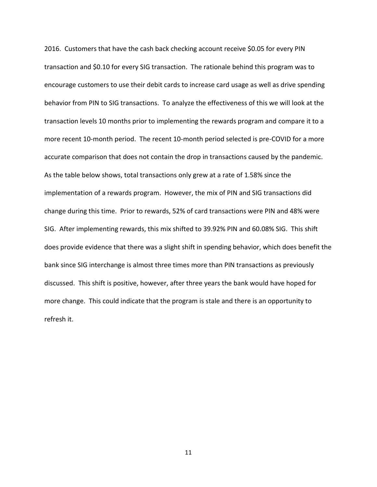2016. Customers that have the cash back checking account receive \$0.05 for every PIN transaction and \$0.10 for every SIG transaction. The rationale behind this program was to encourage customers to use their debit cards to increase card usage as well as drive spending behavior from PIN to SIG transactions. To analyze the effectiveness of this we will look at the transaction levels 10 months prior to implementing the rewards program and compare it to a more recent 10-month period. The recent 10-month period selected is pre-COVID for a more accurate comparison that does not contain the drop in transactions caused by the pandemic. As the table below shows, total transactions only grew at a rate of 1.58% since the implementation of a rewards program. However, the mix of PIN and SIG transactions did change during this time. Prior to rewards, 52% of card transactions were PIN and 48% were SIG. After implementing rewards, this mix shifted to 39.92% PIN and 60.08% SIG. This shift does provide evidence that there was a slight shift in spending behavior, which does benefit the bank since SIG interchange is almost three times more than PIN transactions as previously discussed. This shift is positive, however, after three years the bank would have hoped for more change. This could indicate that the program is stale and there is an opportunity to refresh it.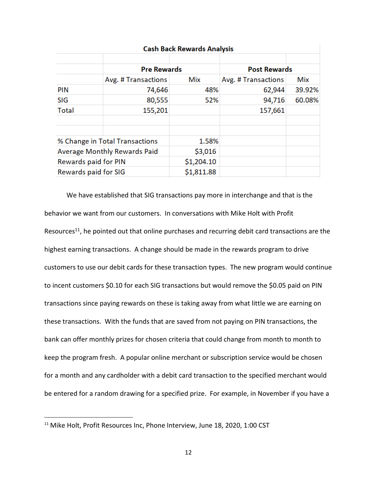|                             | <b>Cash Back Rewards Analysis</b>   |            |                     |            |  |  |  |  |  |  |  |  |  |  |
|-----------------------------|-------------------------------------|------------|---------------------|------------|--|--|--|--|--|--|--|--|--|--|
|                             | <b>Pre Rewards</b>                  |            | <b>Post Rewards</b> |            |  |  |  |  |  |  |  |  |  |  |
|                             | Avg. # Transactions                 | Mix        | Avg. # Transactions | <b>Mix</b> |  |  |  |  |  |  |  |  |  |  |
| <b>PIN</b>                  | 74,646                              | 48%        | 62,944              | 39.92%     |  |  |  |  |  |  |  |  |  |  |
| SIG                         | 80,555                              | 52%        | 94,716              | 60.08%     |  |  |  |  |  |  |  |  |  |  |
| <b>Total</b>                | 155,201                             |            | 157,661             |            |  |  |  |  |  |  |  |  |  |  |
|                             |                                     |            |                     |            |  |  |  |  |  |  |  |  |  |  |
|                             |                                     |            |                     |            |  |  |  |  |  |  |  |  |  |  |
|                             | % Change in Total Transactions      | 1.58%      |                     |            |  |  |  |  |  |  |  |  |  |  |
|                             | <b>Average Monthly Rewards Paid</b> | \$3,016    |                     |            |  |  |  |  |  |  |  |  |  |  |
| <b>Rewards paid for PIN</b> |                                     | \$1,204.10 |                     |            |  |  |  |  |  |  |  |  |  |  |
| Rewards paid for SIG        |                                     | \$1,811.88 |                     |            |  |  |  |  |  |  |  |  |  |  |

# We have established that SIG transactions pay more in interchange and that is the behavior we want from our customers. In conversations with Mike Holt with Profit Resources<sup>11</sup>, he pointed out that online purchases and recurring debit card transactions are the highest earning transactions. A change should be made in the rewards program to drive customers to use our debit cards for these transaction types. The new program would continue to incent customers \$0.10 for each SIG transactions but would remove the \$0.05 paid on PIN transactions since paying rewards on these is taking away from what little we are earning on these transactions. With the funds that are saved from not paying on PIN transactions, the bank can offer monthly prizes for chosen criteria that could change from month to month to keep the program fresh. A popular online merchant or subscription service would be chosen for a month and any cardholder with a debit card transaction to the specified merchant would be entered for a random drawing for a specified prize. For example, in November if you have a

 $\overline{\phantom{a}}$ 

<sup>&</sup>lt;sup>11</sup> Mike Holt, Profit Resources Inc, Phone Interview, June 18, 2020, 1:00 CST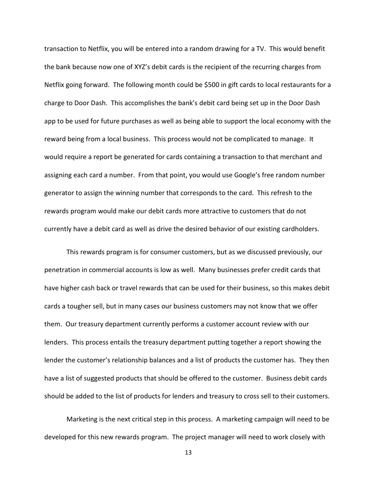transaction to Netflix, you will be entered into a random drawing for a TV. This would benefit the bank because now one of XYZ's debit cards is the recipient of the recurring charges from Netflix going forward. The following month could be \$500 in gift cards to local restaurants for a charge to Door Dash. This accomplishes the bank's debit card being set up in the Door Dash app to be used for future purchases as well as being able to support the local economy with the reward being from a local business. This process would not be complicated to manage. It would require a report be generated for cards containing a transaction to that merchant and assigning each card a number. From that point, you would use Google's free random number generator to assign the winning number that corresponds to the card. This refresh to the rewards program would make our debit cards more attractive to customers that do not currently have a debit card as well as drive the desired behavior of our existing cardholders.

This rewards program is for consumer customers, but as we discussed previously, our penetration in commercial accounts is low as well. Many businesses prefer credit cards that have higher cash back or travel rewards that can be used for their business, so this makes debit cards a tougher sell, but in many cases our business customers may not know that we offer them. Our treasury department currently performs a customer account review with our lenders. This process entails the treasury department putting together a report showing the lender the customer's relationship balances and a list of products the customer has. They then have a list of suggested products that should be offered to the customer. Business debit cards should be added to the list of products for lenders and treasury to cross sell to their customers.

Marketing is the next critical step in this process. A marketing campaign will need to be developed for this new rewards program. The project manager will need to work closely with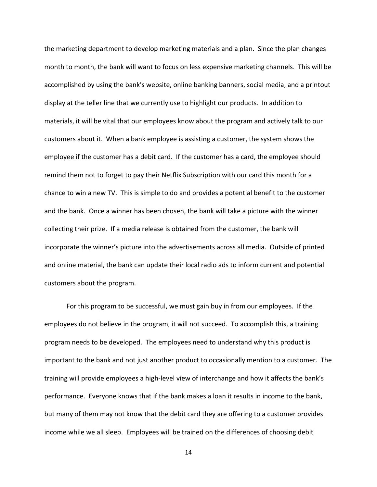the marketing department to develop marketing materials and a plan. Since the plan changes month to month, the bank will want to focus on less expensive marketing channels. This will be accomplished by using the bank's website, online banking banners, social media, and a printout display at the teller line that we currently use to highlight our products. In addition to materials, it will be vital that our employees know about the program and actively talk to our customers about it. When a bank employee is assisting a customer, the system shows the employee if the customer has a debit card. If the customer has a card, the employee should remind them not to forget to pay their Netflix Subscription with our card this month for a chance to win a new TV. This is simple to do and provides a potential benefit to the customer and the bank. Once a winner has been chosen, the bank will take a picture with the winner collecting their prize. If a media release is obtained from the customer, the bank will incorporate the winner's picture into the advertisements across all media. Outside of printed and online material, the bank can update their local radio ads to inform current and potential customers about the program.

For this program to be successful, we must gain buy in from our employees. If the employees do not believe in the program, it will not succeed. To accomplish this, a training program needs to be developed. The employees need to understand why this product is important to the bank and not just another product to occasionally mention to a customer. The training will provide employees a high-level view of interchange and how it affects the bank's performance. Everyone knows that if the bank makes a loan it results in income to the bank, but many of them may not know that the debit card they are offering to a customer provides income while we all sleep. Employees will be trained on the differences of choosing debit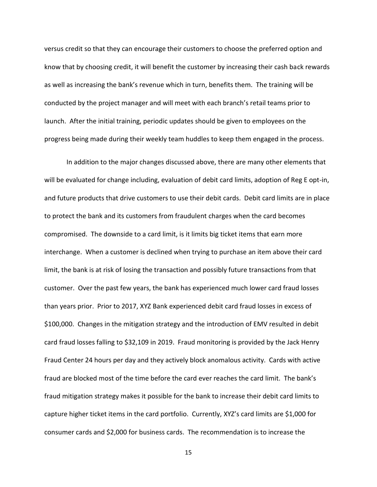versus credit so that they can encourage their customers to choose the preferred option and know that by choosing credit, it will benefit the customer by increasing their cash back rewards as well as increasing the bank's revenue which in turn, benefits them. The training will be conducted by the project manager and will meet with each branch's retail teams prior to launch. After the initial training, periodic updates should be given to employees on the progress being made during their weekly team huddles to keep them engaged in the process.

In addition to the major changes discussed above, there are many other elements that will be evaluated for change including, evaluation of debit card limits, adoption of Reg E opt-in, and future products that drive customers to use their debit cards. Debit card limits are in place to protect the bank and its customers from fraudulent charges when the card becomes compromised. The downside to a card limit, is it limits big ticket items that earn more interchange. When a customer is declined when trying to purchase an item above their card limit, the bank is at risk of losing the transaction and possibly future transactions from that customer. Over the past few years, the bank has experienced much lower card fraud losses than years prior. Prior to 2017, XYZ Bank experienced debit card fraud losses in excess of \$100,000. Changes in the mitigation strategy and the introduction of EMV resulted in debit card fraud losses falling to \$32,109 in 2019. Fraud monitoring is provided by the Jack Henry Fraud Center 24 hours per day and they actively block anomalous activity. Cards with active fraud are blocked most of the time before the card ever reaches the card limit. The bank's fraud mitigation strategy makes it possible for the bank to increase their debit card limits to capture higher ticket items in the card portfolio. Currently, XYZ's card limits are \$1,000 for consumer cards and \$2,000 for business cards. The recommendation is to increase the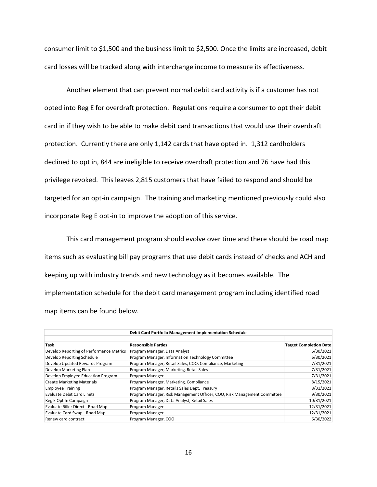consumer limit to \$1,500 and the business limit to \$2,500. Once the limits are increased, debit card losses will be tracked along with interchange income to measure its effectiveness.

Another element that can prevent normal debit card activity is if a customer has not opted into Reg E for overdraft protection. Regulations require a consumer to opt their debit card in if they wish to be able to make debit card transactions that would use their overdraft protection. Currently there are only 1,142 cards that have opted in. 1,312 cardholders declined to opt in, 844 are ineligible to receive overdraft protection and 76 have had this privilege revoked. This leaves 2,815 customers that have failed to respond and should be targeted for an opt-in campaign. The training and marketing mentioned previously could also incorporate Reg E opt-in to improve the adoption of this service.

This card management program should evolve over time and there should be road map items such as evaluating bill pay programs that use debit cards instead of checks and ACH and keeping up with industry trends and new technology as it becomes available. The implementation schedule for the debit card management program including identified road map items can be found below.

| Debit Card Portfolio Management Implementation Schedule |                                                                          |                               |  |  |  |  |  |  |  |  |
|---------------------------------------------------------|--------------------------------------------------------------------------|-------------------------------|--|--|--|--|--|--|--|--|
| Task                                                    | <b>Responsible Parties</b>                                               | <b>Target Completion Date</b> |  |  |  |  |  |  |  |  |
| Develop Reporting of Performance Metrics                | Program Manager, Data Analyst                                            | 6/30/2021                     |  |  |  |  |  |  |  |  |
| Develop Reporting Schedule                              | Program Manager, Information Technology Committee                        | 6/30/2021                     |  |  |  |  |  |  |  |  |
| Develop Updated Rewards Program                         | Program Manager, Retail Sales, COO, Compliance, Marketing                | 7/31/2021                     |  |  |  |  |  |  |  |  |
| Develop Marketing Plan                                  | Program Manager, Marketing, Retail Sales                                 | 7/31/2021                     |  |  |  |  |  |  |  |  |
| Develop Employee Education Program                      | Program Manager                                                          | 7/31/2021                     |  |  |  |  |  |  |  |  |
| <b>Create Marketing Materials</b>                       | Program Manager, Marketing, Compliance                                   | 8/15/2021                     |  |  |  |  |  |  |  |  |
| <b>Employee Training</b>                                | Program Manager, Retails Sales Dept, Treasury                            | 8/31/2021                     |  |  |  |  |  |  |  |  |
| <b>Evaluate Debit Card Limits</b>                       | Program Manager, Risk Management Officer, COO, Risk Management Committee | 9/30/2021                     |  |  |  |  |  |  |  |  |
| Reg E Opt In Campaign                                   | Program Manager, Data Analyst, Retail Sales                              | 10/31/2021                    |  |  |  |  |  |  |  |  |
| Evaluate Biller Direct - Road Map                       | Program Manager                                                          | 12/31/2021                    |  |  |  |  |  |  |  |  |
| Evaluate Card Swap - Road Map                           | Program Manager                                                          | 12/31/2021                    |  |  |  |  |  |  |  |  |
| Renew card contract                                     | Program Manager, COO                                                     | 6/30/2022                     |  |  |  |  |  |  |  |  |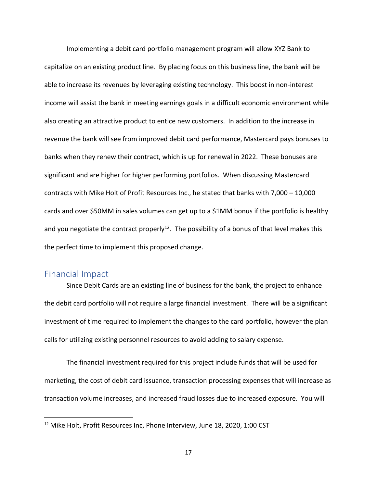Implementing a debit card portfolio management program will allow XYZ Bank to capitalize on an existing product line. By placing focus on this business line, the bank will be able to increase its revenues by leveraging existing technology. This boost in non-interest income will assist the bank in meeting earnings goals in a difficult economic environment while also creating an attractive product to entice new customers. In addition to the increase in revenue the bank will see from improved debit card performance, Mastercard pays bonuses to banks when they renew their contract, which is up for renewal in 2022. These bonuses are significant and are higher for higher performing portfolios. When discussing Mastercard contracts with Mike Holt of Profit Resources Inc., he stated that banks with 7,000 – 10,000 cards and over \$50MM in sales volumes can get up to a \$1MM bonus if the portfolio is healthy and you negotiate the contract properly<sup>12</sup>. The possibility of a bonus of that level makes this the perfect time to implement this proposed change.

#### <span id="page-22-0"></span>Financial Impact

 $\overline{\phantom{a}}$ 

Since Debit Cards are an existing line of business for the bank, the project to enhance the debit card portfolio will not require a large financial investment. There will be a significant investment of time required to implement the changes to the card portfolio, however the plan calls for utilizing existing personnel resources to avoid adding to salary expense.

The financial investment required for this project include funds that will be used for marketing, the cost of debit card issuance, transaction processing expenses that will increase as transaction volume increases, and increased fraud losses due to increased exposure. You will

<sup>&</sup>lt;sup>12</sup> Mike Holt, Profit Resources Inc, Phone Interview, June 18, 2020, 1:00 CST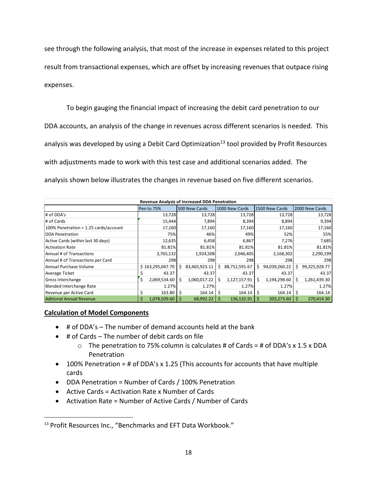see through the following analysis, that most of the increase in expenses related to this project result from transactional expenses, which are offset by increasing revenues that outpace rising expenses.

To begin gauging the financial impact of increasing the debit card penetration to our DDA accounts, an analysis of the change in revenues across different scenarios is needed. This analysis was developed by using a Debit Card Optimization<sup>13</sup> tool provided by Profit Resources with adjustments made to work with this test case and additional scenarios added. The

|                                                                                   | Revenue Analysis of Increased DDA Penetration |                  |    |               |    |               |              |                   |            |               |  |  |  |  |
|-----------------------------------------------------------------------------------|-----------------------------------------------|------------------|----|---------------|----|---------------|--------------|-------------------|------------|---------------|--|--|--|--|
| 500 New Cards<br>1000 New Cards<br>2000 New Cards<br>Pen to 75%<br>1500 New Cards |                                               |                  |    |               |    |               |              |                   |            |               |  |  |  |  |
| # of DDA's                                                                        |                                               | 13,728           |    | 13,728        |    | 13,728        |              | 13,728            |            | 13,728        |  |  |  |  |
| # of Cards                                                                        |                                               | 15,444           |    | 7,894         |    | 8,394         |              | 8,894             |            | 9,394         |  |  |  |  |
| 100% Penetration = 1.25 cards/account                                             |                                               | 17,160           |    | 17,160        |    | 17,160        |              | 17,160            |            | 17,160        |  |  |  |  |
| <b>DDA Penetration</b>                                                            |                                               | 75%              |    | 46%           |    | 49%           |              | 52%               |            | 55%           |  |  |  |  |
| Active Cards (within last 30 days)                                                |                                               | 12,635           |    | 6,458         |    | 6,867         |              | 7,276             |            | 7,685         |  |  |  |  |
| <b>Activation Rate</b>                                                            |                                               | 81.81%           |    | 81.81%        |    | 81.81%        |              | 81.81%            |            | 81.81%        |  |  |  |  |
| Annual # of Transactions                                                          |                                               | 3,765,132        |    | 1,924,508     |    | 2,046,405     |              | 2,168,302         |            | 2,290,199     |  |  |  |  |
| Annual # of Transactions per Card                                                 |                                               | 298              |    | 298           |    | 298           |              | 298               |            | 298           |  |  |  |  |
| Annual Purchase Volume                                                            |                                               | \$163,295,047.70 | Ś. | 83,465,923.11 | \$ | 88,752,591.67 | \$           | 94,039,260.22     | Ŝ.         | 99,325,928.77 |  |  |  |  |
| Average Ticket                                                                    |                                               | 43.37            |    | 43.37         |    | 43.37         |              | 43.37             |            | 43.37         |  |  |  |  |
| Gross Interchange                                                                 | \$                                            | 2,069,534.60     | Ś  | 1,060,017.22  | Ś  | 1,127,157.91  | Ś            | 1,194,298.60      | Ŝ          | 1,261,439.30  |  |  |  |  |
| <b>Blended Interchange Rate</b>                                                   |                                               | 1.27%            |    | 1.27%         |    | 1.27%         |              | 1.27%             |            | 1.27%         |  |  |  |  |
| Revenue per Active Card                                                           | \$                                            | 163.80           | Ŝ  | 164.14        | \$ | 164.14        | \$           | 164.14            | $\sqrt{5}$ | 164.14        |  |  |  |  |
| <b>Aditional Annual Revenue</b>                                                   |                                               | 1,078,509.60     | S  | 68,992.22     | S  | 136,132.91    | <sub>S</sub> | $203,273.60$   \$ |            | 270,414.30    |  |  |  |  |

#### **Calculation of Model Components**

 $\overline{\phantom{a}}$ 

- $\bullet$  # of DDA's The number of demand accounts held at the bank
- $\bullet$  # of Cards The number of debit cards on file
	- $\circ$  The penetration to 75% column is calculates # of Cards = # of DDA's x 1.5 x DDA Penetration
- 100% Penetration = # of DDA's x 1.25 (This accounts for accounts that have multiple cards
- DDA Penetration = Number of Cards / 100% Penetration
- Active Cards = Activation Rate x Number of Cards
- Activation Rate = Number of Active Cards / Number of Cards

<sup>&</sup>lt;sup>13</sup> Profit Resources Inc., "Benchmarks and EFT Data Workbook."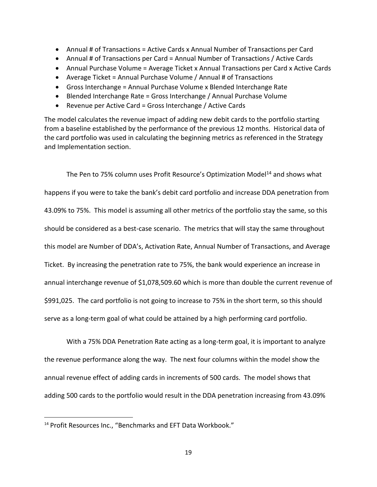- Annual # of Transactions = Active Cards x Annual Number of Transactions per Card
- Annual # of Transactions per Card = Annual Number of Transactions / Active Cards
- Annual Purchase Volume = Average Ticket x Annual Transactions per Card x Active Cards
- Average Ticket = Annual Purchase Volume / Annual # of Transactions
- Gross Interchange = Annual Purchase Volume x Blended Interchange Rate
- Blended Interchange Rate = Gross Interchange / Annual Purchase Volume
- Revenue per Active Card = Gross Interchange / Active Cards

The model calculates the revenue impact of adding new debit cards to the portfolio starting from a baseline established by the performance of the previous 12 months. Historical data of the card portfolio was used in calculating the beginning metrics as referenced in the Strategy and Implementation section.

The Pen to 75% column uses Profit Resource's Optimization Model<sup>14</sup> and shows what happens if you were to take the bank's debit card portfolio and increase DDA penetration from 43.09% to 75%. This model is assuming all other metrics of the portfolio stay the same, so this should be considered as a best-case scenario. The metrics that will stay the same throughout this model are Number of DDA's, Activation Rate, Annual Number of Transactions, and Average Ticket. By increasing the penetration rate to 75%, the bank would experience an increase in annual interchange revenue of \$1,078,509.60 which is more than double the current revenue of \$991,025. The card portfolio is not going to increase to 75% in the short term, so this should serve as a long-term goal of what could be attained by a high performing card portfolio.

With a 75% DDA Penetration Rate acting as a long-term goal, it is important to analyze the revenue performance along the way. The next four columns within the model show the annual revenue effect of adding cards in increments of 500 cards. The model shows that adding 500 cards to the portfolio would result in the DDA penetration increasing from 43.09%

 $\overline{\phantom{a}}$ 

<sup>&</sup>lt;sup>14</sup> Profit Resources Inc., "Benchmarks and EFT Data Workbook."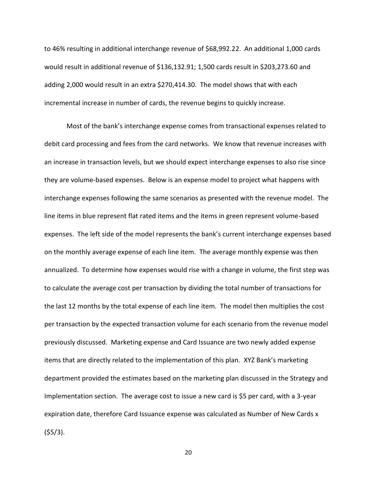to 46% resulting in additional interchange revenue of \$68,992.22. An additional 1,000 cards would result in additional revenue of \$136,132.91; 1,500 cards result in \$203,273.60 and adding 2,000 would result in an extra \$270,414.30. The model shows that with each incremental increase in number of cards, the revenue begins to quickly increase.

Most of the bank's interchange expense comes from transactional expenses related to debit card processing and fees from the card networks. We know that revenue increases with an increase in transaction levels, but we should expect interchange expenses to also rise since they are volume-based expenses. Below is an expense model to project what happens with interchange expenses following the same scenarios as presented with the revenue model. The line items in blue represent flat rated items and the items in green represent volume-based expenses. The left side of the model represents the bank's current interchange expenses based on the monthly average expense of each line item. The average monthly expense was then annualized. To determine how expenses would rise with a change in volume, the first step was to calculate the average cost per transaction by dividing the total number of transactions for the last 12 months by the total expense of each line item. The model then multiplies the cost per transaction by the expected transaction volume for each scenario from the revenue model previously discussed. Marketing expense and Card Issuance are two newly added expense items that are directly related to the implementation of this plan. XYZ Bank's marketing department provided the estimates based on the marketing plan discussed in the Strategy and Implementation section. The average cost to issue a new card is \$5 per card, with a 3-year expiration date, therefore Card Issuance expense was calculated as Number of New Cards x (\$5/3).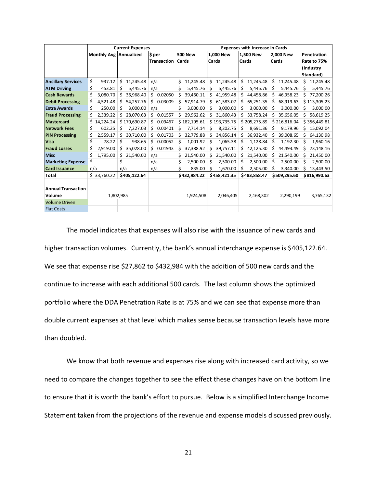|                           |                               | <b>Current Expenses</b> |                    |                 | <b>Expenses with Increase in Cards</b> |                 |                 |                 |  |  |  |  |  |
|---------------------------|-------------------------------|-------------------------|--------------------|-----------------|----------------------------------------|-----------------|-----------------|-----------------|--|--|--|--|--|
|                           | <b>Monthly Avg Annualized</b> |                         | \$ per             | <b>500 New</b>  | 1.000 New                              | 1.500 New       | 2.000 New       | Penetration     |  |  |  |  |  |
|                           |                               |                         | <b>Transaction</b> | <b>Cards</b>    | Cards                                  | Cards           | Cards           | Rate to 75%     |  |  |  |  |  |
|                           |                               |                         |                    |                 |                                        |                 |                 | (Industry       |  |  |  |  |  |
|                           |                               |                         |                    |                 |                                        |                 |                 | Standard)       |  |  |  |  |  |
| <b>Ancillary Services</b> | \$<br>937.12                  | \$<br>11,245.48         | n/a                | \$<br>11,245.48 | \$<br>11,245.48                        | \$<br>11,245.48 | \$<br>11,245.48 | Ś<br>11,245.48  |  |  |  |  |  |
| <b>ATM Driving</b>        | \$<br>453.81                  | \$<br>5,445.76          | n/a                | \$<br>5,445.76  | Ś<br>5,445.76                          | 5,445.76<br>Ś   | Ś<br>5,445.76   | 5,445.76<br>Ś   |  |  |  |  |  |
| <b>Cash Rewards</b>       | \$<br>3,080.70                | Ś.<br>36,968.40         | 0.02050<br>\$.     | Ś.<br>39,460.11 | Ś<br>41,959.48                         | Ś<br>44,458.86  | Ś<br>46,958.23  | 77,200.26<br>Ś  |  |  |  |  |  |
| <b>Debit Processing</b>   | \$<br>4,521.48                | 54,257.76<br>\$         | \$<br>0.03009      | 57,914.79<br>Ś  | 61,583.07<br>Ś                         | Ś<br>65,251.35  | 68,919.63<br>Ś  | \$113,305.23    |  |  |  |  |  |
| <b>Extra Awards</b>       | \$<br>250.00                  | Ś<br>3.000.00           | n/a                | Ś<br>3.000.00   | Ś<br>3.000.00                          | Ś<br>3.000.00   | Ś<br>3,000.00   | 3,000.00<br>Ś   |  |  |  |  |  |
| <b>Fraud Processing</b>   | Ś<br>2,339.22                 | 28,070.63<br>Ś.         | Ś.<br>0.01557      | 29,962.62<br>Ś. | 31,860.43<br>Ś.                        | Ś<br>33,758.24  | Ś<br>35,656.05  | 58,619.25<br>Ś  |  |  |  |  |  |
| <b>Mastercard</b>         | Ś<br>14,224.24                | \$170,690.87            | Ś.<br>0.09467      | \$182,195.61    | \$193,735.75                           | \$205,275.89    | \$216,816.04    | \$356,449.81    |  |  |  |  |  |
| <b>Network Fees</b>       | \$<br>602.25                  | Ś<br>7,227.03           | Ś.<br>0.00401      | 7,714.14<br>Ś   | Ś<br>8,202.75                          | Ś<br>8,691.36   | 9,179.96<br>Ś   | 15,092.04<br>Ś  |  |  |  |  |  |
| <b>PIN Processing</b>     | \$<br>2,559.17                | 30,710.00<br>Ś          | \$<br>0.01703      | 32,779.88<br>Ś  | 34,856.14<br>Ś                         | 36,932.40<br>Ś  | 39,008.65<br>Ś  | 64,130.98<br>Ś  |  |  |  |  |  |
| Visa                      | \$<br>78.22                   | \$<br>938.65            | \$<br>0.00052      | 1,001.92<br>Ś   | 1,065.38<br>Ś                          | 1,128.84<br>Ś   | 1,192.30<br>\$  | 1,960.16<br>Ś   |  |  |  |  |  |
| <b>Fraud Losses</b>       | \$<br>2,919.00                | \$<br>35,028.00         | \$<br>0.01943      | 37,388.92<br>Ś  | 39,757.11<br>Ś                         | 42,125.30<br>Ś  | 44,493.49<br>\$ | 73,148.16<br>Ŝ  |  |  |  |  |  |
| <b>Misc</b>               | \$<br>1,795.00                | Ś.<br>21,540.00         | n/a                | 21,540.00<br>Ś  | 21,540.00<br>Ś                         | 21,540.00<br>Ś  | 21,540.00<br>Ś  | 21,450.00<br>Ś  |  |  |  |  |  |
| <b>Marketing Expense</b>  | \$                            | \$                      | n/a                | \$<br>2,500.00  | Ś.<br>2,500.00                         | Ś<br>2,500.00   | Ś<br>2,500.00   | Ś<br>2,500.00   |  |  |  |  |  |
| <b>Card Issuance</b>      | n/a                           | n/a                     | n/a                | Ś<br>835.00     | Ś.<br>1,670.00                         | Ś<br>2,505.00   | 3,340.00<br>Ś   | Ś.<br>13,443.50 |  |  |  |  |  |
| <b>Total</b>              | \$33,760.22                   | \$405,122.64            |                    | \$432,984.22    | \$458,421.35                           | \$483,858.47    | \$509,295.60    | \$816,990.63    |  |  |  |  |  |
|                           |                               |                         |                    |                 |                                        |                 |                 |                 |  |  |  |  |  |
| <b>Annual Transaction</b> |                               |                         |                    |                 |                                        |                 |                 |                 |  |  |  |  |  |
| Volume                    |                               | 1,802,985               |                    | 1,924,508       | 2,046,405                              | 2,168,302       | 2,290,199       | 3,765,132       |  |  |  |  |  |
| <b>Volume Driven</b>      |                               |                         |                    |                 |                                        |                 |                 |                 |  |  |  |  |  |
| <b>Flat Costs</b>         |                               |                         |                    |                 |                                        |                 |                 |                 |  |  |  |  |  |

The model indicates that expenses will also rise with the issuance of new cards and higher transaction volumes. Currently, the bank's annual interchange expense is \$405,122.64. We see that expense rise \$27,862 to \$432,984 with the addition of 500 new cards and the continue to increase with each additional 500 cards. The last column shows the optimized portfolio where the DDA Penetration Rate is at 75% and we can see that expense more than double current expenses at that level which makes sense because transaction levels have more than doubled.

We know that both revenue and expenses rise along with increased card activity, so we need to compare the changes together to see the effect these changes have on the bottom line to ensure that it is worth the bank's effort to pursue. Below is a simplified Interchange Income Statement taken from the projections of the revenue and expense models discussed previously.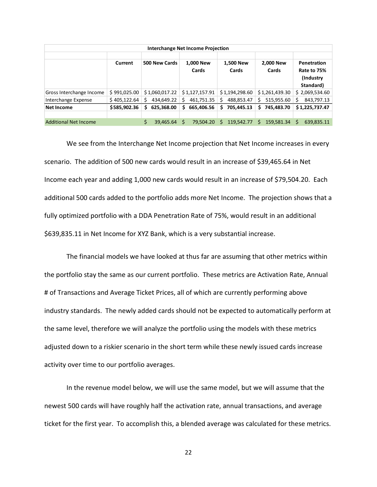| <b>Interchange Net Income Projection</b> |              |                 |                    |                    |                    |                                                       |  |  |  |  |  |  |  |  |
|------------------------------------------|--------------|-----------------|--------------------|--------------------|--------------------|-------------------------------------------------------|--|--|--|--|--|--|--|--|
|                                          | Current      | 500 New Cards   | 1,000 New<br>Cards | 1,500 New<br>Cards | 2,000 New<br>Cards | Penetration<br>Rate to 75%<br>(Industry)<br>Standard) |  |  |  |  |  |  |  |  |
| Gross Interchange Income                 | \$991,025.00 | \$1,060,017.22  | \$1,127,157.91     | \$1,194,298.60     | \$1,261,439.30     | \$2,069,534.60                                        |  |  |  |  |  |  |  |  |
| Interchange Expense                      | \$405,122.64 | 434.649.22<br>S | 461,751.35<br>S    | 488,853.47<br>S    | 515,955.60<br>S    | 843,797.13<br>S                                       |  |  |  |  |  |  |  |  |
| Net Income                               | \$585,902.36 | 625,368.00<br>S | 665,406.56<br>Ś.   | 705,445.13<br>S    | 745,483.70<br>s    | \$1,225,737.47                                        |  |  |  |  |  |  |  |  |
|                                          |              |                 |                    |                    |                    |                                                       |  |  |  |  |  |  |  |  |
| Additional Net Income                    |              | 39,465.64       | Ś<br>79.504.20     | 119,542.77<br>S    | 159,581.34<br>s    | 639,835.11<br>S                                       |  |  |  |  |  |  |  |  |

We see from the Interchange Net Income projection that Net Income increases in every scenario. The addition of 500 new cards would result in an increase of \$39,465.64 in Net Income each year and adding 1,000 new cards would result in an increase of \$79,504.20. Each additional 500 cards added to the portfolio adds more Net Income. The projection shows that a fully optimized portfolio with a DDA Penetration Rate of 75%, would result in an additional \$639,835.11 in Net Income for XYZ Bank, which is a very substantial increase.

The financial models we have looked at thus far are assuming that other metrics within the portfolio stay the same as our current portfolio. These metrics are Activation Rate, Annual # of Transactions and Average Ticket Prices, all of which are currently performing above industry standards. The newly added cards should not be expected to automatically perform at the same level, therefore we will analyze the portfolio using the models with these metrics adjusted down to a riskier scenario in the short term while these newly issued cards increase activity over time to our portfolio averages.

In the revenue model below, we will use the same model, but we will assume that the newest 500 cards will have roughly half the activation rate, annual transactions, and average ticket for the first year. To accomplish this, a blended average was calculated for these metrics.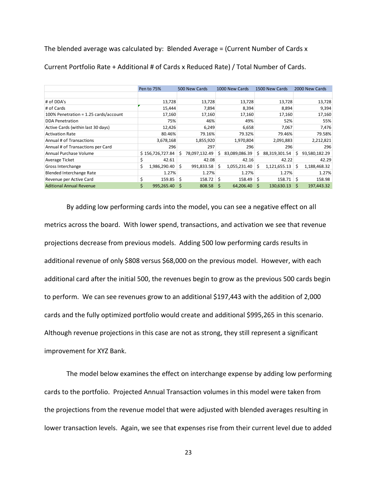The blended average was calculated by: Blended Average = (Current Number of Cards x

| Current Portfolio Rate + Additional # of Cards x Reduced Rate) / Total Number of Cards. |                    |    |               |    |                |     |                |   |                |
|-----------------------------------------------------------------------------------------|--------------------|----|---------------|----|----------------|-----|----------------|---|----------------|
|                                                                                         |                    |    |               |    |                |     |                |   |                |
|                                                                                         |                    |    |               |    |                |     |                |   |                |
|                                                                                         | Pen to 75%         |    | 500 New Cards |    | 1000 New Cards |     | 1500 New Cards |   | 2000 New Cards |
|                                                                                         |                    |    |               |    |                |     |                |   |                |
| # of DDA's                                                                              | 13,728             |    | 13,728        |    | 13,728         |     | 13,728         |   | 13,728         |
| # of Cards                                                                              | 15,444             |    | 7,894         |    | 8,394          |     | 8,894          |   | 9,394          |
| 100% Penetration = 1.25 cards/account                                                   | 17,160             |    | 17,160        |    | 17,160         |     | 17,160         |   | 17,160         |
| <b>DDA Penetration</b>                                                                  | 75%                |    | 46%           |    | 49%            |     | 52%            |   | 55%            |
| Active Cards (within last 30 days)                                                      | 12,426             |    | 6,249         |    | 6,658          |     | 7,067          |   | 7,476          |
| <b>Activation Rate</b>                                                                  | 80.46%             |    | 79.16%        |    | 79.32%         |     | 79.46%         |   | 79.58%         |
| Annual # of Transactions                                                                | 3,678,168          |    | 1,855,920     |    | 1,970,804      |     | 2,091,883      |   | 2,212,821      |
| Annual # of Transactions per Card                                                       | 296                |    | 297           |    | 296            |     | 296            |   | 296            |
| Annual Purchase Volume                                                                  | \$156,726,727.84   | Ś  | 78,097,132.49 | Ŝ  | 83,089,086.39  | Ś   | 88,319,301.54  | Ś | 93,580,182.29  |
| Average Ticket                                                                          | \$<br>42.61        |    | 42.08         |    | 42.16          |     | 42.22          |   | 42.29          |
| Gross Interchange                                                                       | \$<br>1,986,290.40 | Ś. | 991,833.58    | Ŝ  | 1,055,231.40   | Ŝ   | 1,121,655.13   | Ś | 1,188,468.32   |
| <b>Blended Interchange Rate</b>                                                         | 1.27%              |    | 1.27%         |    | 1.27%          |     | 1.27%          |   | 1.27%          |
| Revenue per Active Card                                                                 | \$<br>159.85       | Ś  | 158.72        | Ŝ  | 158.49         | \$. | 158.71         | Ŝ | 158.98         |
| <b>Aditional Annual Revenue</b>                                                         | \$<br>995,265.40   | Ŝ  | 808.58        | \$ | 64,206.40      | Ŝ   | 130,630.13     | Ś | 197,443.32     |

By adding low performing cards into the model, you can see a negative effect on all metrics across the board. With lower spend, transactions, and activation we see that revenue projections decrease from previous models. Adding 500 low performing cards results in additional revenue of only \$808 versus \$68,000 on the previous model. However, with each additional card after the initial 500, the revenues begin to grow as the previous 500 cards begin to perform. We can see revenues grow to an additional \$197,443 with the addition of 2,000 cards and the fully optimized portfolio would create and additional \$995,265 in this scenario. Although revenue projections in this case are not as strong, they still represent a significant improvement for XYZ Bank.

The model below examines the effect on interchange expense by adding low performing cards to the portfolio. Projected Annual Transaction volumes in this model were taken from the projections from the revenue model that were adjusted with blended averages resulting in lower transaction levels. Again, we see that expenses rise from their current level due to added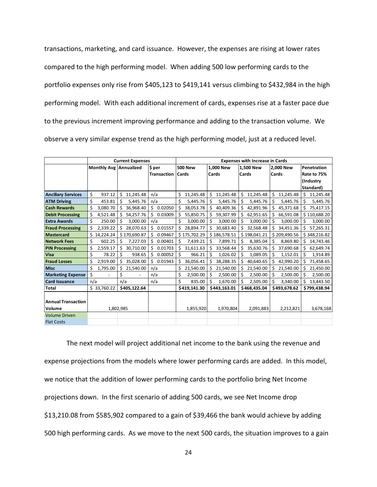transactions, marketing, and card issuance. However, the expenses are rising at lower rates compared to the high performing model. When adding 500 low performing cards to the portfolio expenses only rise from \$405,123 to \$419,141 versus climbing to \$432,984 in the high performing model. With each additional increment of cards, expenses rise at a faster pace due to the previous increment improving performance and adding to the transaction volume. We observe a very similar expense trend as the high performing model, just at a reduced level.

|                           |     |                          |     | <b>Current Expenses</b>  |     |                    |       | <b>Expenses with Increase in Cards</b> |    |              |    |              |    |              |             |              |
|---------------------------|-----|--------------------------|-----|--------------------------|-----|--------------------|-------|----------------------------------------|----|--------------|----|--------------|----|--------------|-------------|--------------|
|                           |     | Monthly Avg Annualized   |     |                          |     | \$ per             |       | <b>500 New</b>                         |    | 1.000 New    |    | 1,500 New    |    | 2.000 New    |             | Penetration  |
|                           |     |                          |     |                          |     | <b>Transaction</b> | Cards |                                        |    | Cards        |    | Cards        |    | Cards        | Rate to 75% |              |
|                           |     |                          |     |                          |     |                    |       |                                        |    |              |    |              |    |              |             | (Industry    |
|                           |     |                          |     |                          |     |                    |       |                                        |    |              |    |              |    |              |             | Standard)    |
| <b>Ancillary Services</b> | \$  | 937.12                   | \$  | 11,245.48                | n/a |                    | \$    | 11,245.48                              | \$ | 11,245.48    | \$ | 11,245.48    | \$ | 11,245.48    | Ś           | 11,245.48    |
| <b>ATM Driving</b>        | \$  | 453.81                   | \$  | 5,445.76                 | n/a |                    | Ś     | 5,445.76                               | Ś  | 5,445.76     | Ś  | 5,445.76     | \$ | 5,445.76     | Ś           | 5,445.76     |
| <b>Cash Rewards</b>       | Ś   | 3,080.70                 |     | 36,968.40                | \$  | 0.02050            | Ś.    | 38,053.78                              | Ś  | 40,409.36    | Ś  | 42,891.96    | \$ | 45,371.68    | Ś           | 75,417.15    |
| <b>Debit Processing</b>   | \$  | 4,521.48                 |     | 54,257.76                | Ś.  | 0.03009            | Ś.    | 55,850.75                              | Ś. | 59,307.99    | Ś. | 62,951.65    | \$ | 66,591.08    |             | \$110,688.20 |
| <b>Extra Awards</b>       | \$  | 250.00                   | \$  | 3,000.00                 |     | n/a                | Ś     | 3,000.00                               | Ś  | 3,000.00     | \$ | 3,000.00     | \$ | 3,000.00     | \$          | 3,000.00     |
| <b>Fraud Processing</b>   | Ś   | 2,339.22                 | \$  | 28,070.63                | \$  | 0.01557            | Ś.    | 28,894.77                              | Ś. | 30,683.40    | \$ | 32,568.48    | \$ | 34,451.36    | Ś           | 57,265.31    |
| <b>Mastercard</b>         |     | 14,224.24                |     | \$170.690.87             | Ś.  | 0.09467            |       | \$175,702.29                           |    | \$186,578.51 |    | \$198,041.21 |    | \$209,490.56 |             | \$348,216.82 |
| <b>Network Fees</b>       | \$  | 602.25                   | \$  | 7,227.03                 | \$  | 0.00401            | Ś     | 7,439.21                               | \$ | 7,899.71     | \$ | 8,385.04     | \$ | 8,869.80     | Ś           | 14,743.46    |
| <b>PIN Processing</b>     | \$  | 2,559.17                 | \$  | 30,710.00                | \$  | 0.01703            | \$    | 31,611.63                              | \$ | 33,568.44    | \$ | 35,630.76    | \$ | 37,690.68    | \$          | 62,649.74    |
| <b>Visa</b>               | \$  | 78.22                    | \$  | 938.65                   | \$  | 0.00052            | Ś     | 966.21                                 | Ś  | 1,026.02     | Ś  | 1,089.05     | Ś. | 1,152.01     | Ś           | 1,914.89     |
| <b>Fraud Losses</b>       | \$  | 2,919.00                 | Ś   | 35,028.00                | Ś.  | 0.01943            | Ś.    | 36,056.41                              | Ś. | 38,288.35    | Ś. | 40,640.65    | Ś. | 42,990.20    | Ś           | 71,458.65    |
| <b>Misc</b>               | \$  | 1,795.00                 | Ś   | 21,540.00                | n/a |                    | Ś.    | 21,540.00                              | Ś  | 21,540.00    | Ś. | 21,540.00    | \$ | 21,540.00    | \$          | 21,450.00    |
| <b>Marketing Expense</b>  | \$  | $\overline{\phantom{a}}$ | \$  | $\overline{\phantom{a}}$ |     | n/a                | \$    | 2,500.00                               | \$ | 2,500.00     | \$ | 2,500.00     | \$ | 2,500.00     | Ś           | 2,500.00     |
| <b>Card Issuance</b>      | n/a |                          | n/a |                          |     | n/a                | \$    | 835.00                                 | Ś. | 1,670.00     | Ś  | 2,505.00     | Ś  | 3,340.00     | Ś           | 13,443.50    |
| <b>Total</b>              |     | \$33,760.22              |     | \$405,122.64             |     |                    |       | \$419,141.30                           |    | \$443,163.01 |    | \$468,435.04 |    | \$493,678.62 |             | \$799,438.94 |
|                           |     |                          |     |                          |     |                    |       |                                        |    |              |    |              |    |              |             |              |
| <b>Annual Transaction</b> |     |                          |     |                          |     |                    |       |                                        |    |              |    |              |    |              |             |              |
| Volume                    |     | 1,802,985                |     |                          |     |                    |       | 1,855,920                              |    | 1,970,804    |    | 2,091,883    |    | 2,212,821    |             | 3,678,168    |
| <b>Volume Driven</b>      |     |                          |     |                          |     |                    |       |                                        |    |              |    |              |    |              |             |              |
| <b>Flat Costs</b>         |     |                          |     |                          |     |                    |       |                                        |    |              |    |              |    |              |             |              |

The next model will project additional net income to the bank using the revenue and expense projections from the models where lower performing cards are added. In this model, we notice that the addition of lower performing cards to the portfolio bring Net Income projections down. In the first scenario of adding 500 cards, we see Net Income drop \$13,210.08 from \$585,902 compared to a gain of \$39,466 the bank would achieve by adding 500 high performing cards. As we move to the next 500 cards, the situation improves to a gain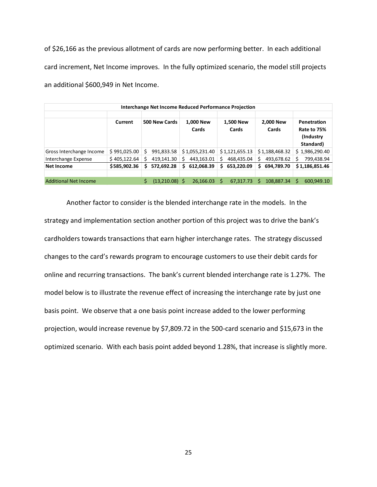of \$26,166 as the previous allotment of cards are now performing better. In each additional card increment, Net Income improves. In the fully optimized scenario, the model still projects an additional \$600,949 in Net Income.

| Interchange Net Income Reduced Performance Projection |              |                  |                    |                    |                    |                                                       |  |  |  |  |  |  |
|-------------------------------------------------------|--------------|------------------|--------------------|--------------------|--------------------|-------------------------------------------------------|--|--|--|--|--|--|
|                                                       | Current      | 500 New Cards    | 1,000 New<br>Cards | 1,500 New<br>Cards | 2,000 New<br>Cards | Penetration<br>Rate to 75%<br>(Industry)<br>Standard) |  |  |  |  |  |  |
| Gross Interchange Income                              | \$991,025.00 | 991,833.58<br>Ś  | \$1,055,231.40     | \$1,121,655.13     | \$1,188,468.32     | \$1,986,290.40                                        |  |  |  |  |  |  |
| Interchange Expense                                   | \$405,122.64 | 419.141.30       | 443.163.01<br>Ś    | 468,435.04         | 493.678.62<br>S    | 799,438.94<br>S                                       |  |  |  |  |  |  |
| Net Income                                            | \$585,902.36 | 572.692.28<br>S  | 612,068.39<br>S.   | 653,220.09<br>S    | 694.789.70<br>s    | \$1,186,851.46                                        |  |  |  |  |  |  |
|                                                       |              |                  |                    |                    |                    |                                                       |  |  |  |  |  |  |
| <b>Additional Net Income</b>                          |              | $(13,210.08)$ \$ | 26,166.03          | S<br>67,317.73     | 108.887.34         | 600,949.10<br>S                                       |  |  |  |  |  |  |

Another factor to consider is the blended interchange rate in the models. In the strategy and implementation section another portion of this project was to drive the bank's cardholders towards transactions that earn higher interchange rates. The strategy discussed changes to the card's rewards program to encourage customers to use their debit cards for online and recurring transactions. The bank's current blended interchange rate is 1.27%. The model below is to illustrate the revenue effect of increasing the interchange rate by just one basis point. We observe that a one basis point increase added to the lower performing projection, would increase revenue by \$7,809.72 in the 500-card scenario and \$15,673 in the optimized scenario. With each basis point added beyond 1.28%, that increase is slightly more.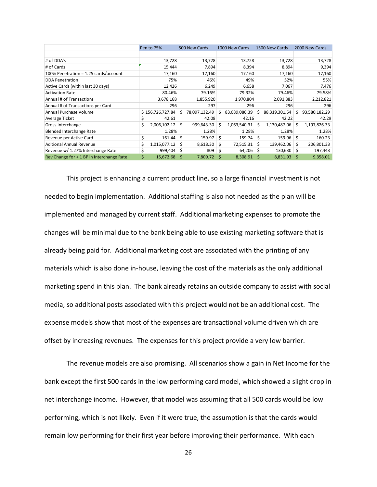|                                           |    | Pen to 75%       |    | 500 New Cards |    | 1000 New Cards |    | 1500 New Cards |    | 2000 New Cards |
|-------------------------------------------|----|------------------|----|---------------|----|----------------|----|----------------|----|----------------|
|                                           |    |                  |    |               |    |                |    |                |    |                |
| # of DDA's                                |    | 13,728           |    | 13,728        |    | 13,728         |    | 13,728         |    | 13,728         |
| # of Cards                                |    | 15,444           |    | 7,894         |    | 8,394          |    | 8,894          |    | 9,394          |
| 100% Penetration = 1.25 cards/account     |    | 17,160           |    | 17,160        |    | 17,160         |    | 17,160         |    | 17,160         |
| <b>DDA Penetration</b>                    |    | 75%              |    | 46%           |    | 49%            |    | 52%            |    | 55%            |
| Active Cards (within last 30 days)        |    | 12,426           |    | 6,249         |    | 6,658          |    | 7,067          |    | 7,476          |
| <b>Activation Rate</b>                    |    | 80.46%           |    | 79.16%        |    | 79.32%         |    | 79.46%         |    | 79.58%         |
| Annual # of Transactions                  |    | 3,678,168        |    | 1,855,920     |    | 1,970,804      |    | 2,091,883      |    | 2,212,821      |
| Annual # of Transactions per Card         |    | 296              |    | 297           |    | 296            |    | 296            |    | 296            |
| Annual Purchase Volume                    |    | \$156,726,727.84 | S  | 78,097,132.49 | S  | 83,089,086.39  | S  | 88,319,301.54  | s  | 93,580,182.29  |
| Average Ticket                            | \$ | 42.61            |    | 42.08         |    | 42.16          |    | 42.22          |    | 42.29          |
| Gross Interchange                         | Ś  | 2,006,102.12     | Ś. | 999,643.30    | Ŝ. | 1,063,540.31   | Ŝ  | 1,130,487.06   | .S | 1,197,826.33   |
| Blended Interchange Rate                  |    | 1.28%            |    | 1.28%         |    | 1.28%          |    | 1.28%          |    | 1.28%          |
| Revenue per Active Card                   | \$ | 161.44           | Ś  | 159.97        | Ś. | 159.74         | Ŝ. | 159.96         | Ŝ  | 160.23         |
| <b>Aditional Annual Revenue</b>           | \$ | 1,015,077.12     | Ŝ  | 8,618.30      | Ŝ  | 72,515.31      | Ŝ  | 139,462.06     | Ś  | 206,801.33     |
| Revenue w/ 1.27% Interchange Rate         | \$ | 999,404          | \$ | 809           | \$ | $64,206$ \$    |    | $130,630$ \$   |    | 197,443        |
| Rev Change for + 1 BP in Interchange Rate | Ś  | 15,672.68        | .S | 7,809.72      | .S | 8,308.91       | .S | 8,831.93       | .S | 9,358.01       |

This project is enhancing a current product line, so a large financial investment is not needed to begin implementation. Additional staffing is also not needed as the plan will be implemented and managed by current staff. Additional marketing expenses to promote the changes will be minimal due to the bank being able to use existing marketing software that is already being paid for. Additional marketing cost are associated with the printing of any materials which is also done in-house, leaving the cost of the materials as the only additional marketing spend in this plan. The bank already retains an outside company to assist with social media, so additional posts associated with this project would not be an additional cost. The expense models show that most of the expenses are transactional volume driven which are offset by increasing revenues. The expenses for this project provide a very low barrier.

The revenue models are also promising. All scenarios show a gain in Net Income for the bank except the first 500 cards in the low performing card model, which showed a slight drop in net interchange income. However, that model was assuming that all 500 cards would be low performing, which is not likely. Even if it were true, the assumption is that the cards would remain low performing for their first year before improving their performance. With each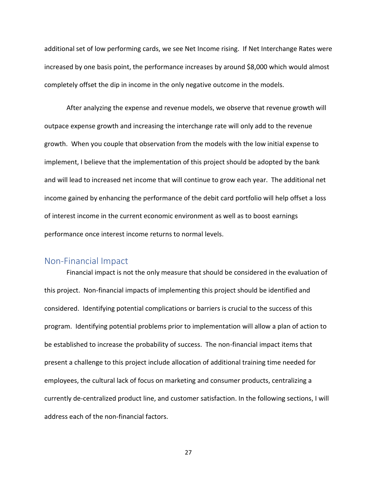additional set of low performing cards, we see Net Income rising. If Net Interchange Rates were increased by one basis point, the performance increases by around \$8,000 which would almost completely offset the dip in income in the only negative outcome in the models.

After analyzing the expense and revenue models, we observe that revenue growth will outpace expense growth and increasing the interchange rate will only add to the revenue growth. When you couple that observation from the models with the low initial expense to implement, I believe that the implementation of this project should be adopted by the bank and will lead to increased net income that will continue to grow each year. The additional net income gained by enhancing the performance of the debit card portfolio will help offset a loss of interest income in the current economic environment as well as to boost earnings performance once interest income returns to normal levels.

#### <span id="page-32-0"></span>Non-Financial Impact

Financial impact is not the only measure that should be considered in the evaluation of this project. Non-financial impacts of implementing this project should be identified and considered. Identifying potential complications or barriers is crucial to the success of this program. Identifying potential problems prior to implementation will allow a plan of action to be established to increase the probability of success. The non-financial impact items that present a challenge to this project include allocation of additional training time needed for employees, the cultural lack of focus on marketing and consumer products, centralizing a currently de-centralized product line, and customer satisfaction. In the following sections, I will address each of the non-financial factors.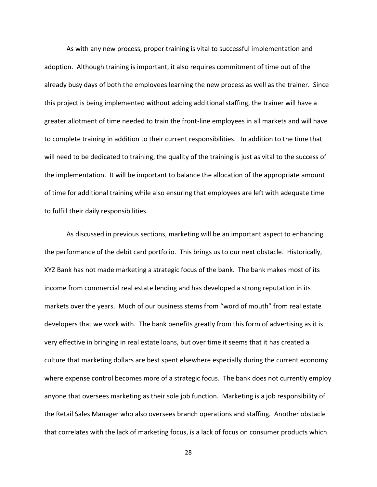As with any new process, proper training is vital to successful implementation and adoption. Although training is important, it also requires commitment of time out of the already busy days of both the employees learning the new process as well as the trainer. Since this project is being implemented without adding additional staffing, the trainer will have a greater allotment of time needed to train the front-line employees in all markets and will have to complete training in addition to their current responsibilities. In addition to the time that will need to be dedicated to training, the quality of the training is just as vital to the success of the implementation. It will be important to balance the allocation of the appropriate amount of time for additional training while also ensuring that employees are left with adequate time to fulfill their daily responsibilities.

As discussed in previous sections, marketing will be an important aspect to enhancing the performance of the debit card portfolio. This brings us to our next obstacle. Historically, XYZ Bank has not made marketing a strategic focus of the bank. The bank makes most of its income from commercial real estate lending and has developed a strong reputation in its markets over the years. Much of our business stems from "word of mouth" from real estate developers that we work with. The bank benefits greatly from this form of advertising as it is very effective in bringing in real estate loans, but over time it seems that it has created a culture that marketing dollars are best spent elsewhere especially during the current economy where expense control becomes more of a strategic focus. The bank does not currently employ anyone that oversees marketing as their sole job function. Marketing is a job responsibility of the Retail Sales Manager who also oversees branch operations and staffing. Another obstacle that correlates with the lack of marketing focus, is a lack of focus on consumer products which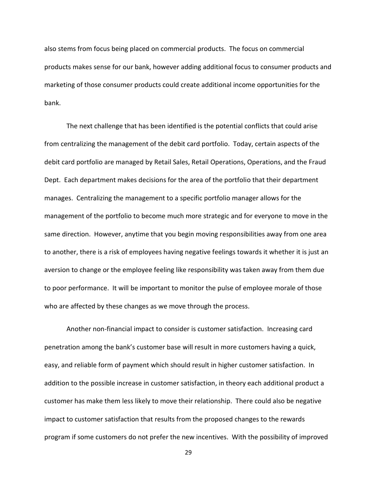also stems from focus being placed on commercial products. The focus on commercial products makes sense for our bank, however adding additional focus to consumer products and marketing of those consumer products could create additional income opportunities for the bank.

The next challenge that has been identified is the potential conflicts that could arise from centralizing the management of the debit card portfolio. Today, certain aspects of the debit card portfolio are managed by Retail Sales, Retail Operations, Operations, and the Fraud Dept. Each department makes decisions for the area of the portfolio that their department manages. Centralizing the management to a specific portfolio manager allows for the management of the portfolio to become much more strategic and for everyone to move in the same direction. However, anytime that you begin moving responsibilities away from one area to another, there is a risk of employees having negative feelings towards it whether it is just an aversion to change or the employee feeling like responsibility was taken away from them due to poor performance. It will be important to monitor the pulse of employee morale of those who are affected by these changes as we move through the process.

Another non-financial impact to consider is customer satisfaction. Increasing card penetration among the bank's customer base will result in more customers having a quick, easy, and reliable form of payment which should result in higher customer satisfaction. In addition to the possible increase in customer satisfaction, in theory each additional product a customer has make them less likely to move their relationship. There could also be negative impact to customer satisfaction that results from the proposed changes to the rewards program if some customers do not prefer the new incentives. With the possibility of improved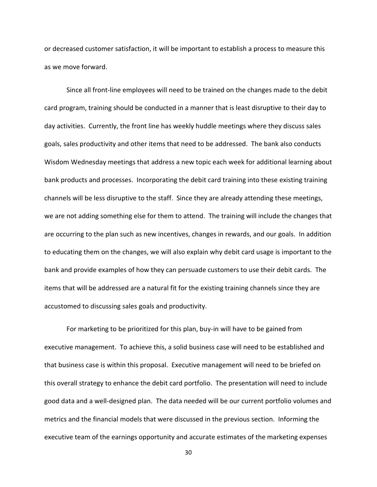or decreased customer satisfaction, it will be important to establish a process to measure this as we move forward.

Since all front-line employees will need to be trained on the changes made to the debit card program, training should be conducted in a manner that is least disruptive to their day to day activities. Currently, the front line has weekly huddle meetings where they discuss sales goals, sales productivity and other items that need to be addressed. The bank also conducts Wisdom Wednesday meetings that address a new topic each week for additional learning about bank products and processes. Incorporating the debit card training into these existing training channels will be less disruptive to the staff. Since they are already attending these meetings, we are not adding something else for them to attend. The training will include the changes that are occurring to the plan such as new incentives, changes in rewards, and our goals. In addition to educating them on the changes, we will also explain why debit card usage is important to the bank and provide examples of how they can persuade customers to use their debit cards. The items that will be addressed are a natural fit for the existing training channels since they are accustomed to discussing sales goals and productivity.

For marketing to be prioritized for this plan, buy-in will have to be gained from executive management. To achieve this, a solid business case will need to be established and that business case is within this proposal. Executive management will need to be briefed on this overall strategy to enhance the debit card portfolio. The presentation will need to include good data and a well-designed plan. The data needed will be our current portfolio volumes and metrics and the financial models that were discussed in the previous section. Informing the executive team of the earnings opportunity and accurate estimates of the marketing expenses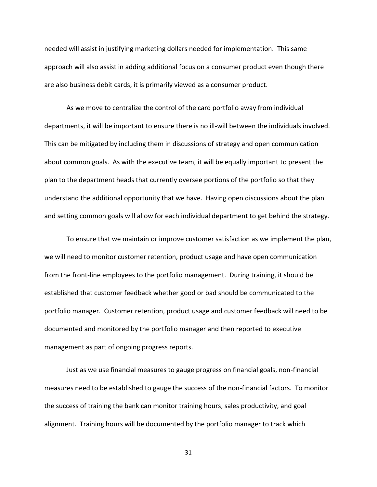needed will assist in justifying marketing dollars needed for implementation. This same approach will also assist in adding additional focus on a consumer product even though there are also business debit cards, it is primarily viewed as a consumer product.

As we move to centralize the control of the card portfolio away from individual departments, it will be important to ensure there is no ill-will between the individuals involved. This can be mitigated by including them in discussions of strategy and open communication about common goals. As with the executive team, it will be equally important to present the plan to the department heads that currently oversee portions of the portfolio so that they understand the additional opportunity that we have. Having open discussions about the plan and setting common goals will allow for each individual department to get behind the strategy.

To ensure that we maintain or improve customer satisfaction as we implement the plan, we will need to monitor customer retention, product usage and have open communication from the front-line employees to the portfolio management. During training, it should be established that customer feedback whether good or bad should be communicated to the portfolio manager. Customer retention, product usage and customer feedback will need to be documented and monitored by the portfolio manager and then reported to executive management as part of ongoing progress reports.

Just as we use financial measures to gauge progress on financial goals, non-financial measures need to be established to gauge the success of the non-financial factors. To monitor the success of training the bank can monitor training hours, sales productivity, and goal alignment. Training hours will be documented by the portfolio manager to track which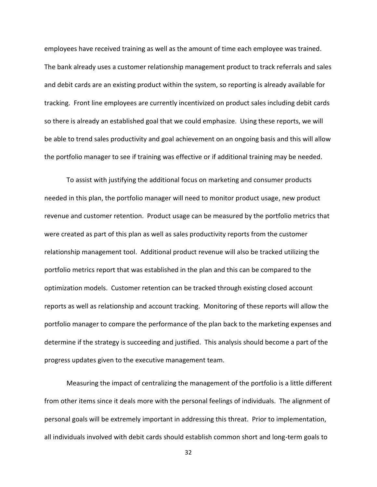employees have received training as well as the amount of time each employee was trained. The bank already uses a customer relationship management product to track referrals and sales and debit cards are an existing product within the system, so reporting is already available for tracking. Front line employees are currently incentivized on product sales including debit cards so there is already an established goal that we could emphasize. Using these reports, we will be able to trend sales productivity and goal achievement on an ongoing basis and this will allow the portfolio manager to see if training was effective or if additional training may be needed.

To assist with justifying the additional focus on marketing and consumer products needed in this plan, the portfolio manager will need to monitor product usage, new product revenue and customer retention. Product usage can be measured by the portfolio metrics that were created as part of this plan as well as sales productivity reports from the customer relationship management tool. Additional product revenue will also be tracked utilizing the portfolio metrics report that was established in the plan and this can be compared to the optimization models. Customer retention can be tracked through existing closed account reports as well as relationship and account tracking. Monitoring of these reports will allow the portfolio manager to compare the performance of the plan back to the marketing expenses and determine if the strategy is succeeding and justified. This analysis should become a part of the progress updates given to the executive management team.

Measuring the impact of centralizing the management of the portfolio is a little different from other items since it deals more with the personal feelings of individuals. The alignment of personal goals will be extremely important in addressing this threat. Prior to implementation, all individuals involved with debit cards should establish common short and long-term goals to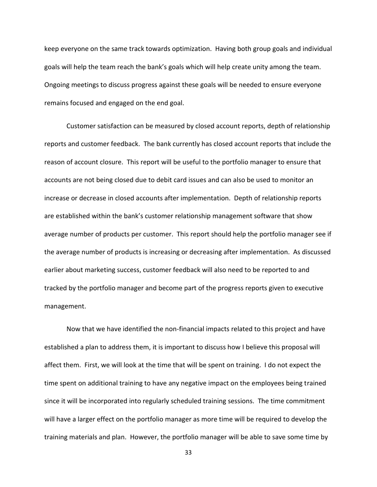keep everyone on the same track towards optimization. Having both group goals and individual goals will help the team reach the bank's goals which will help create unity among the team. Ongoing meetings to discuss progress against these goals will be needed to ensure everyone remains focused and engaged on the end goal.

Customer satisfaction can be measured by closed account reports, depth of relationship reports and customer feedback. The bank currently has closed account reports that include the reason of account closure. This report will be useful to the portfolio manager to ensure that accounts are not being closed due to debit card issues and can also be used to monitor an increase or decrease in closed accounts after implementation. Depth of relationship reports are established within the bank's customer relationship management software that show average number of products per customer. This report should help the portfolio manager see if the average number of products is increasing or decreasing after implementation. As discussed earlier about marketing success, customer feedback will also need to be reported to and tracked by the portfolio manager and become part of the progress reports given to executive management.

Now that we have identified the non-financial impacts related to this project and have established a plan to address them, it is important to discuss how I believe this proposal will affect them. First, we will look at the time that will be spent on training. I do not expect the time spent on additional training to have any negative impact on the employees being trained since it will be incorporated into regularly scheduled training sessions. The time commitment will have a larger effect on the portfolio manager as more time will be required to develop the training materials and plan. However, the portfolio manager will be able to save some time by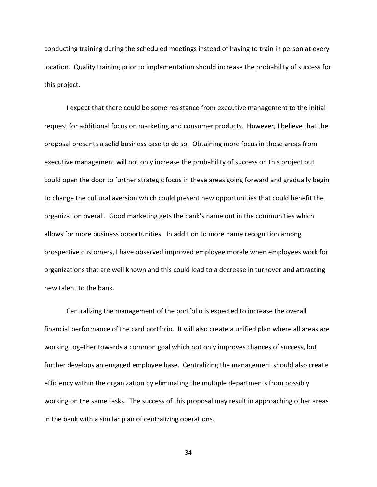conducting training during the scheduled meetings instead of having to train in person at every location. Quality training prior to implementation should increase the probability of success for this project.

I expect that there could be some resistance from executive management to the initial request for additional focus on marketing and consumer products. However, I believe that the proposal presents a solid business case to do so. Obtaining more focus in these areas from executive management will not only increase the probability of success on this project but could open the door to further strategic focus in these areas going forward and gradually begin to change the cultural aversion which could present new opportunities that could benefit the organization overall. Good marketing gets the bank's name out in the communities which allows for more business opportunities. In addition to more name recognition among prospective customers, I have observed improved employee morale when employees work for organizations that are well known and this could lead to a decrease in turnover and attracting new talent to the bank.

Centralizing the management of the portfolio is expected to increase the overall financial performance of the card portfolio. It will also create a unified plan where all areas are working together towards a common goal which not only improves chances of success, but further develops an engaged employee base. Centralizing the management should also create efficiency within the organization by eliminating the multiple departments from possibly working on the same tasks. The success of this proposal may result in approaching other areas in the bank with a similar plan of centralizing operations.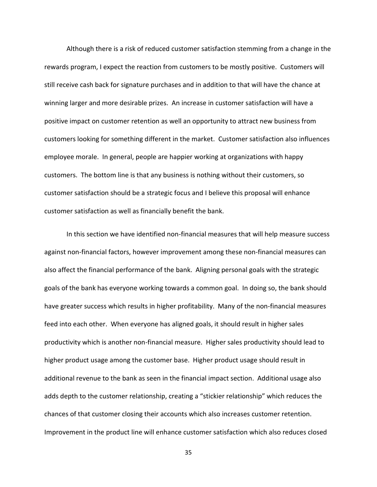Although there is a risk of reduced customer satisfaction stemming from a change in the rewards program, I expect the reaction from customers to be mostly positive. Customers will still receive cash back for signature purchases and in addition to that will have the chance at winning larger and more desirable prizes. An increase in customer satisfaction will have a positive impact on customer retention as well an opportunity to attract new business from customers looking for something different in the market. Customer satisfaction also influences employee morale. In general, people are happier working at organizations with happy customers. The bottom line is that any business is nothing without their customers, so customer satisfaction should be a strategic focus and I believe this proposal will enhance customer satisfaction as well as financially benefit the bank.

In this section we have identified non-financial measures that will help measure success against non-financial factors, however improvement among these non-financial measures can also affect the financial performance of the bank. Aligning personal goals with the strategic goals of the bank has everyone working towards a common goal. In doing so, the bank should have greater success which results in higher profitability. Many of the non-financial measures feed into each other. When everyone has aligned goals, it should result in higher sales productivity which is another non-financial measure. Higher sales productivity should lead to higher product usage among the customer base. Higher product usage should result in additional revenue to the bank as seen in the financial impact section. Additional usage also adds depth to the customer relationship, creating a "stickier relationship" which reduces the chances of that customer closing their accounts which also increases customer retention. Improvement in the product line will enhance customer satisfaction which also reduces closed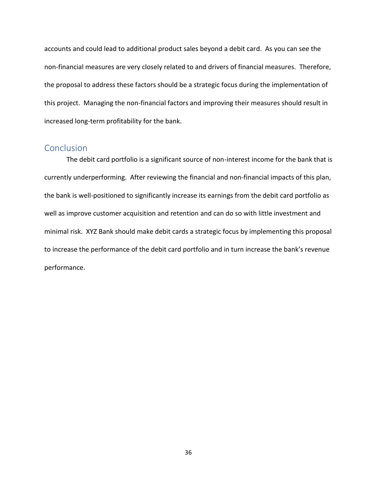accounts and could lead to additional product sales beyond a debit card. As you can see the non-financial measures are very closely related to and drivers of financial measures. Therefore, the proposal to address these factors should be a strategic focus during the implementation of this project. Managing the non-financial factors and improving their measures should result in increased long-term profitability for the bank.

#### <span id="page-41-0"></span>**Conclusion**

The debit card portfolio is a significant source of non-interest income for the bank that is currently underperforming. After reviewing the financial and non-financial impacts of this plan, the bank is well-positioned to significantly increase its earnings from the debit card portfolio as well as improve customer acquisition and retention and can do so with little investment and minimal risk. XYZ Bank should make debit cards a strategic focus by implementing this proposal to increase the performance of the debit card portfolio and in turn increase the bank's revenue performance.